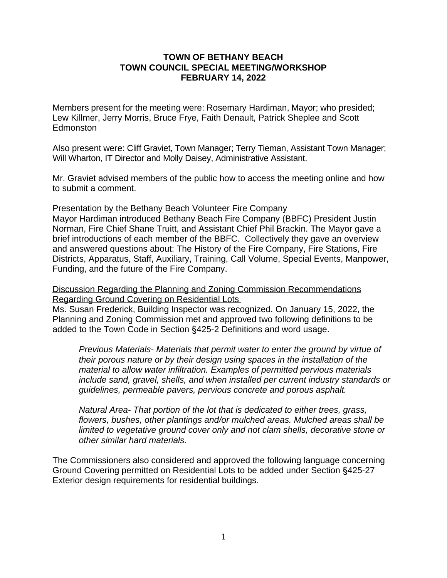## **TOWN OF BETHANY BEACH TOWN COUNCIL SPECIAL MEETING/WORKSHOP FEBRUARY 14, 2022**

Members present for the meeting were: Rosemary Hardiman, Mayor; who presided; Lew Killmer, Jerry Morris, Bruce Frye, Faith Denault, Patrick Sheplee and Scott Edmonston

Also present were: Cliff Graviet, Town Manager; Terry Tieman, Assistant Town Manager; Will Wharton, IT Director and Molly Daisey, Administrative Assistant.

Mr. Graviet advised members of the public how to access the meeting online and how to submit a comment.

Presentation by the Bethany Beach Volunteer Fire Company

Mayor Hardiman introduced Bethany Beach Fire Company (BBFC) President Justin Norman, Fire Chief Shane Truitt, and Assistant Chief Phil Brackin. The Mayor gave a brief introductions of each member of the BBFC. Collectively they gave an overview and answered questions about: The History of the Fire Company, Fire Stations, Fire Districts, Apparatus, Staff, Auxiliary, Training, Call Volume, Special Events, Manpower, Funding, and the future of the Fire Company.

Discussion Regarding the Planning and Zoning Commission Recommendations Regarding Ground Covering on Residential Lots

Ms. Susan Frederick, Building Inspector was recognized. On January 15, 2022, the Planning and Zoning Commission met and approved two following definitions to be added to the Town Code in Section §425-2 Definitions and word usage.

*Previous Materials- Materials that permit water to enter the ground by virtue of their porous nature or by their design using spaces in the installation of the material to allow water infiltration. Examples of permitted pervious materials include sand, gravel, shells, and when installed per current industry standards or guidelines, permeable pavers, pervious concrete and porous asphalt.* 

*Natural Area- That portion of the lot that is dedicated to either trees, grass, flowers, bushes, other plantings and/or mulched areas. Mulched areas shall be limited to vegetative ground cover only and not clam shells, decorative stone or other similar hard materials.*

The Commissioners also considered and approved the following language concerning Ground Covering permitted on Residential Lots to be added under Section §425-27 Exterior design requirements for residential buildings.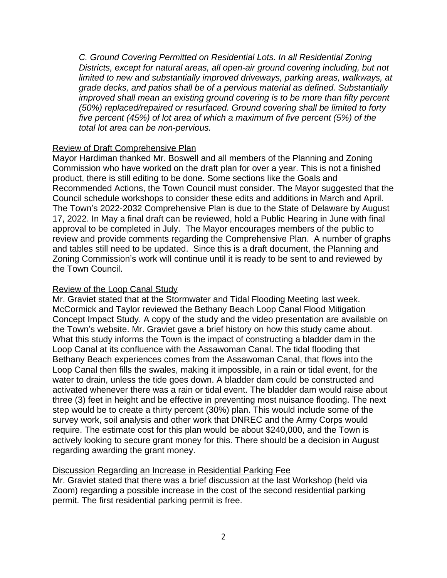*C. Ground Covering Permitted on Residential Lots. In all Residential Zoning Districts, except for natural areas, all open-air ground covering including, but not limited to new and substantially improved driveways, parking areas, walkways, at grade decks, and patios shall be of a pervious material as defined. Substantially improved shall mean an existing ground covering is to be more than fifty percent (50%) replaced/repaired or resurfaced. Ground covering shall be limited to forty five percent (45%) of lot area of which a maximum of five percent (5%) of the total lot area can be non-pervious.* 

## Review of Draft Comprehensive Plan

Mayor Hardiman thanked Mr. Boswell and all members of the Planning and Zoning Commission who have worked on the draft plan for over a year. This is not a finished product, there is still editing to be done. Some sections like the Goals and Recommended Actions, the Town Council must consider. The Mayor suggested that the Council schedule workshops to consider these edits and additions in March and April. The Town's 2022-2032 Comprehensive Plan is due to the State of Delaware by August 17, 2022. In May a final draft can be reviewed, hold a Public Hearing in June with final approval to be completed in July. The Mayor encourages members of the public to review and provide comments regarding the Comprehensive Plan. A number of graphs and tables still need to be updated. Since this is a draft document, the Planning and Zoning Commission's work will continue until it is ready to be sent to and reviewed by the Town Council.

### Review of the Loop Canal Study

Mr. Graviet stated that at the Stormwater and Tidal Flooding Meeting last week. McCormick and Taylor reviewed the Bethany Beach Loop Canal Flood Mitigation Concept Impact Study. A copy of the study and the video presentation are available on the Town's website. Mr. Graviet gave a brief history on how this study came about. What this study informs the Town is the impact of constructing a bladder dam in the Loop Canal at its confluence with the Assawoman Canal. The tidal flooding that Bethany Beach experiences comes from the Assawoman Canal, that flows into the Loop Canal then fills the swales, making it impossible, in a rain or tidal event, for the water to drain, unless the tide goes down. A bladder dam could be constructed and activated whenever there was a rain or tidal event. The bladder dam would raise about three (3) feet in height and be effective in preventing most nuisance flooding. The next step would be to create a thirty percent (30%) plan. This would include some of the survey work, soil analysis and other work that DNREC and the Army Corps would require. The estimate cost for this plan would be about \$240,000, and the Town is actively looking to secure grant money for this. There should be a decision in August regarding awarding the grant money.

# Discussion Regarding an Increase in Residential Parking Fee

Mr. Graviet stated that there was a brief discussion at the last Workshop (held via Zoom) regarding a possible increase in the cost of the second residential parking permit. The first residential parking permit is free.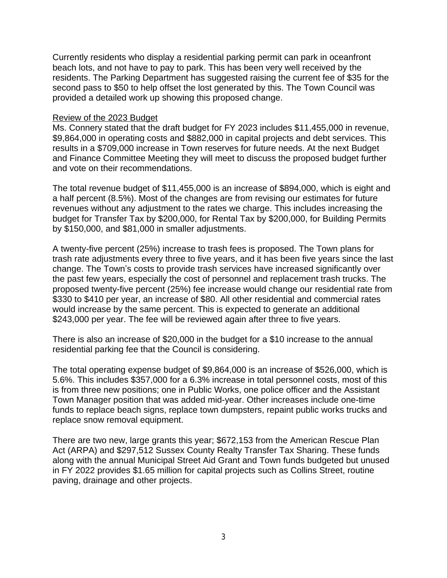Currently residents who display a residential parking permit can park in oceanfront beach lots, and not have to pay to park. This has been very well received by the residents. The Parking Department has suggested raising the current fee of \$35 for the second pass to \$50 to help offset the lost generated by this. The Town Council was provided a detailed work up showing this proposed change.

### Review of the 2023 Budget

Ms. Connery stated that the draft budget for FY 2023 includes \$11,455,000 in revenue, \$9,864,000 in operating costs and \$882,000 in capital projects and debt services. This results in a \$709,000 increase in Town reserves for future needs. At the next Budget and Finance Committee Meeting they will meet to discuss the proposed budget further and vote on their recommendations.

The total revenue budget of \$11,455,000 is an increase of \$894,000, which is eight and a half percent (8.5%). Most of the changes are from revising our estimates for future revenues without any adjustment to the rates we charge. This includes increasing the budget for Transfer Tax by \$200,000, for Rental Tax by \$200,000, for Building Permits by \$150,000, and \$81,000 in smaller adjustments.

A twenty-five percent (25%) increase to trash fees is proposed. The Town plans for trash rate adjustments every three to five years, and it has been five years since the last change. The Town's costs to provide trash services have increased significantly over the past few years, especially the cost of personnel and replacement trash trucks. The proposed twenty-five percent (25%) fee increase would change our residential rate from \$330 to \$410 per year, an increase of \$80. All other residential and commercial rates would increase by the same percent. This is expected to generate an additional \$243,000 per year. The fee will be reviewed again after three to five years.

There is also an increase of \$20,000 in the budget for a \$10 increase to the annual residential parking fee that the Council is considering.

The total operating expense budget of \$9,864,000 is an increase of \$526,000, which is 5.6%. This includes \$357,000 for a 6.3% increase in total personnel costs, most of this is from three new positions; one in Public Works, one police officer and the Assistant Town Manager position that was added mid-year. Other increases include one-time funds to replace beach signs, replace town dumpsters, repaint public works trucks and replace snow removal equipment.

There are two new, large grants this year; \$672,153 from the American Rescue Plan Act (ARPA) and \$297,512 Sussex County Realty Transfer Tax Sharing. These funds along with the annual Municipal Street Aid Grant and Town funds budgeted but unused in FY 2022 provides \$1.65 million for capital projects such as Collins Street, routine paving, drainage and other projects.